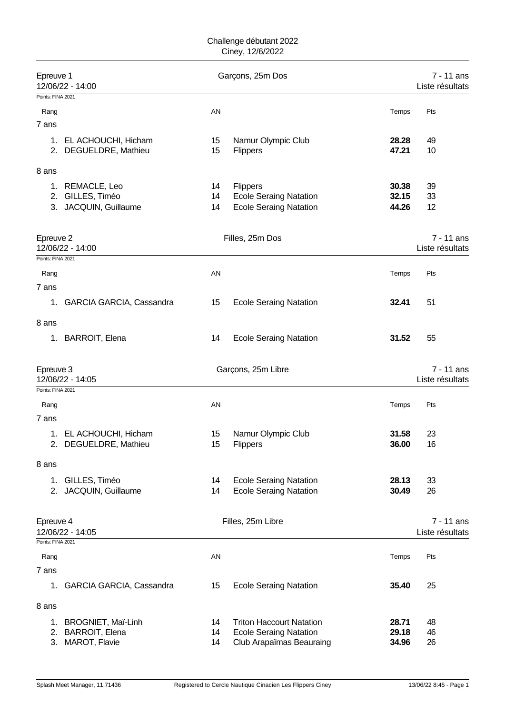| Epreuve 1<br>Garçons, 25m Dos<br>12/06/22 - 14:00<br>Points: FINA 2021 |                                                    |          | 7 - 11 ans<br>Liste résultats                                    |                |                               |
|------------------------------------------------------------------------|----------------------------------------------------|----------|------------------------------------------------------------------|----------------|-------------------------------|
| Rang                                                                   |                                                    | AN       |                                                                  | Temps          | Pts                           |
| 7 ans                                                                  |                                                    |          |                                                                  |                |                               |
|                                                                        | 1. EL ACHOUCHI, Hicham<br>2. DEGUELDRE, Mathieu    | 15<br>15 | Namur Olympic Club<br>Flippers                                   | 28.28<br>47.21 | 49<br>10                      |
| 8 ans                                                                  |                                                    |          |                                                                  |                |                               |
|                                                                        | 1. REMACLE, Leo                                    | 14       | Flippers                                                         | 30.38          | 39                            |
| 2.                                                                     | GILLES, Timéo                                      | 14       | <b>Ecole Seraing Natation</b>                                    | 32.15          | 33                            |
| 3.                                                                     | JACQUIN, Guillaume                                 | 14       | <b>Ecole Seraing Natation</b>                                    | 44.26          | 12                            |
| Epreuve 2                                                              | 12/06/22 - 14:00                                   |          | Filles, 25m Dos                                                  |                | 7 - 11 ans<br>Liste résultats |
| Points: FINA 2021                                                      |                                                    |          |                                                                  |                |                               |
| Rang                                                                   |                                                    | AN       |                                                                  | Temps          | Pts                           |
| 7 ans                                                                  |                                                    |          |                                                                  |                |                               |
| 1.                                                                     | <b>GARCIA GARCIA, Cassandra</b>                    | 15       | <b>Ecole Seraing Natation</b>                                    | 32.41          | 51                            |
| 8 ans                                                                  |                                                    |          |                                                                  |                |                               |
| 1.                                                                     | <b>BARROIT, Elena</b>                              | 14       | <b>Ecole Seraing Natation</b>                                    | 31.52          | 55                            |
|                                                                        |                                                    |          |                                                                  |                |                               |
| Epreuve 3                                                              | 12/06/22 - 14:05                                   |          | Garçons, 25m Libre                                               |                | 7 - 11 ans<br>Liste résultats |
| Points: FINA 2021                                                      |                                                    |          |                                                                  |                |                               |
| Rang                                                                   |                                                    | AN       |                                                                  | Temps          | Pts                           |
| 7 ans                                                                  |                                                    |          |                                                                  |                |                               |
|                                                                        | 1. EL ACHOUCHI, Hicham                             | 15       | Namur Olympic Club                                               | 31.58          | 23                            |
|                                                                        | 2. DEGUELDRE, Mathieu                              | 15       | Flippers                                                         | 36.00          | 16                            |
| 8 ans                                                                  |                                                    |          |                                                                  |                |                               |
|                                                                        | 1. GILLES, Timéo                                   | 14       | <b>Ecole Seraing Natation</b>                                    | 28.13          | 33                            |
|                                                                        | 2. JACQUIN, Guillaume                              | 14       | <b>Ecole Seraing Natation</b>                                    | 30.49          | 26                            |
| Epreuve 4                                                              |                                                    |          | Filles, 25m Libre                                                |                | $7 - 11$ ans                  |
|                                                                        | 12/06/22 - 14:05                                   |          |                                                                  |                | Liste résultats               |
| Points: FINA 2021                                                      |                                                    |          |                                                                  |                |                               |
| Rang                                                                   |                                                    | AN       |                                                                  | Temps          | Pts                           |
| 7 ans<br>1.                                                            |                                                    | 15       |                                                                  | 35.40          | 25                            |
|                                                                        | GARCIA GARCIA, Cassandra                           |          | <b>Ecole Seraing Natation</b>                                    |                |                               |
| 8 ans                                                                  |                                                    |          |                                                                  |                |                               |
| 1.<br>2.                                                               | <b>BROGNIET, Maï-Linh</b><br><b>BARROIT, Elena</b> | 14<br>14 | <b>Triton Haccourt Natation</b><br><b>Ecole Seraing Natation</b> | 28.71<br>29.18 | 48<br>46                      |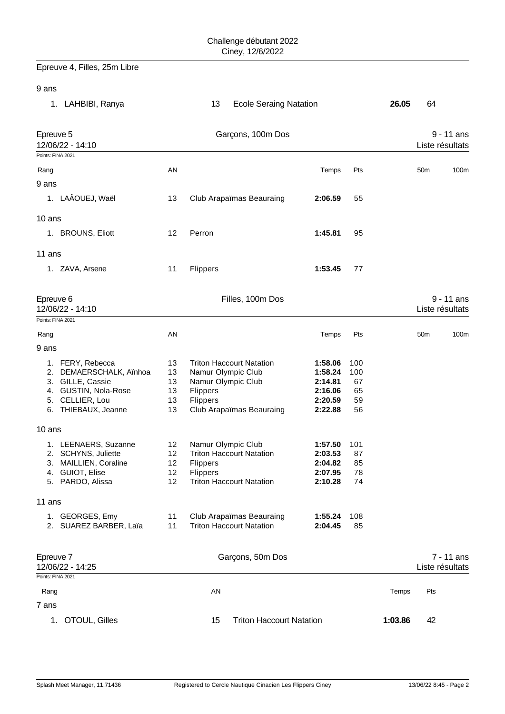Epreuve 4, Filles, 25m Libre

9 ans

| 1. LAHBIBI, Ranya                                                                                                                 |                                  | <b>Ecole Seraing Natation</b><br>13                                                                                                    |                                                                |                                    | 26.05   | 64                              |
|-----------------------------------------------------------------------------------------------------------------------------------|----------------------------------|----------------------------------------------------------------------------------------------------------------------------------------|----------------------------------------------------------------|------------------------------------|---------|---------------------------------|
| Epreuve 5<br>12/06/22 - 14:10<br>Points: FINA 2021                                                                                |                                  | Garçons, 100m Dos                                                                                                                      |                                                                |                                    |         | $9 - 11$ ans<br>Liste résultats |
| Rang                                                                                                                              | AN                               |                                                                                                                                        | Temps                                                          | Pts                                |         | 50 <sub>m</sub><br>100m         |
| 9 ans                                                                                                                             |                                  |                                                                                                                                        |                                                                |                                    |         |                                 |
| 1. LAÂOUEJ, Waël                                                                                                                  | 13                               | Club Arapaïmas Beauraing                                                                                                               | 2:06.59                                                        | 55                                 |         |                                 |
| 10 ans                                                                                                                            |                                  |                                                                                                                                        |                                                                |                                    |         |                                 |
| 1. BROUNS, Eliott                                                                                                                 | 12                               | Perron                                                                                                                                 | 1:45.81                                                        | 95                                 |         |                                 |
|                                                                                                                                   |                                  |                                                                                                                                        |                                                                |                                    |         |                                 |
| 11 ans<br>1. ZAVA, Arsene                                                                                                         | 11                               | Flippers                                                                                                                               | 1:53.45                                                        | 77                                 |         |                                 |
| Epreuve 6<br>12/06/22 - 14:10                                                                                                     |                                  | Filles, 100m Dos                                                                                                                       |                                                                |                                    |         | $9 - 11$ ans<br>Liste résultats |
| Points: FINA 2021                                                                                                                 |                                  |                                                                                                                                        |                                                                |                                    |         |                                 |
| Rang                                                                                                                              | AN                               |                                                                                                                                        | Temps                                                          | Pts                                |         | 100m<br>50m                     |
| 9 ans                                                                                                                             |                                  |                                                                                                                                        |                                                                |                                    |         |                                 |
| 1. FERY, Rebecca<br>2. DEMAERSCHALK, Aïnhoa<br>3. GILLE, Cassie<br>4. GUSTIN, Nola-Rose<br>5. CELLIER, Lou<br>6. THIEBAUX, Jeanne | 13<br>13<br>13<br>13<br>13<br>13 | <b>Triton Haccourt Natation</b><br>Namur Olympic Club<br>Namur Olympic Club<br>Flippers<br><b>Flippers</b><br>Club Arapaïmas Beauraing | 1:58.06<br>1:58.24<br>2:14.81<br>2:16.06<br>2:20.59<br>2:22.88 | 100<br>100<br>67<br>65<br>59<br>56 |         |                                 |
| 10 ans                                                                                                                            |                                  |                                                                                                                                        |                                                                |                                    |         |                                 |
| 1. LEENAERS, Suzanne<br>2. SCHYNS, Juliette<br>3. MAILLIEN, Coraline<br>4. GUIOT, Elise<br>5. PARDO, Alissa                       | 12<br>12<br>12<br>12<br>12       | Namur Olympic Club<br><b>Triton Haccourt Natation</b><br><b>Flippers</b><br>Flippers<br><b>Triton Haccourt Natation</b>                | 1:57.50<br>2:03.53<br>2:04.82<br>2:07.95<br>2:10.28            | 101<br>87<br>85<br>78<br>74        |         |                                 |
| 11 ans                                                                                                                            |                                  |                                                                                                                                        |                                                                |                                    |         |                                 |
| 1. GEORGES, Emy<br>2. SUAREZ BARBER, Laïa                                                                                         | 11<br>11                         | Club Arapaïmas Beauraing<br><b>Triton Haccourt Natation</b>                                                                            | 1:55.24<br>2:04.45                                             | 108<br>85                          |         |                                 |
| Epreuve 7<br>12/06/22 - 14:25<br>Points: FINA 2021                                                                                |                                  | Garçons, 50m Dos                                                                                                                       |                                                                |                                    |         | $7 - 11$ ans<br>Liste résultats |
|                                                                                                                                   |                                  |                                                                                                                                        |                                                                |                                    |         |                                 |
| Rang<br>7 ans                                                                                                                     |                                  | <b>AN</b>                                                                                                                              |                                                                |                                    | Temps   | Pts                             |
| OTOUL, Gilles<br>1.                                                                                                               |                                  | <b>Triton Haccourt Natation</b><br>15                                                                                                  |                                                                |                                    | 1:03.86 | 42                              |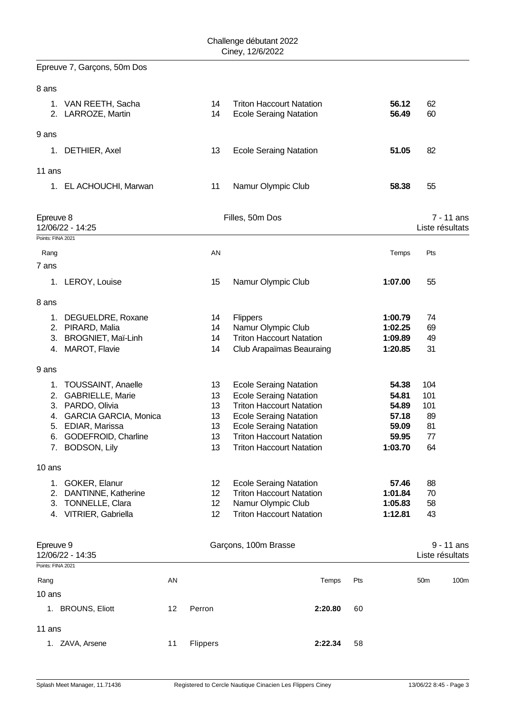Epreuve 7, Garçons, 50m Dos

| 8 ans                                                                                                                                                                                |    |                                        |                                                                                                                                                                                                                                           |                                                               |                                           |              |
|--------------------------------------------------------------------------------------------------------------------------------------------------------------------------------------|----|----------------------------------------|-------------------------------------------------------------------------------------------------------------------------------------------------------------------------------------------------------------------------------------------|---------------------------------------------------------------|-------------------------------------------|--------------|
| VAN REETH, Sacha<br>1.<br>2. LARROZE, Martin                                                                                                                                         |    | 14<br>14                               | <b>Triton Haccourt Natation</b><br><b>Ecole Seraing Natation</b>                                                                                                                                                                          | 56.12<br>56.49                                                | 62<br>60                                  |              |
| 9 ans                                                                                                                                                                                |    |                                        |                                                                                                                                                                                                                                           |                                                               |                                           |              |
| DETHIER, Axel<br>1.                                                                                                                                                                  |    | 13                                     | <b>Ecole Seraing Natation</b>                                                                                                                                                                                                             | 51.05                                                         | 82                                        |              |
| 11 ans                                                                                                                                                                               |    |                                        |                                                                                                                                                                                                                                           |                                                               |                                           |              |
| EL ACHOUCHI, Marwan<br>1.                                                                                                                                                            |    | 11                                     | Namur Olympic Club                                                                                                                                                                                                                        | 58.38                                                         | 55                                        |              |
| Epreuve 8<br>12/06/22 - 14:25<br>Points: FINA 2021                                                                                                                                   |    |                                        | Filles, 50m Dos                                                                                                                                                                                                                           |                                                               | Liste résultats                           | 7 - 11 ans   |
| Rang                                                                                                                                                                                 |    | AN                                     |                                                                                                                                                                                                                                           | Temps                                                         | Pts                                       |              |
| 7 ans                                                                                                                                                                                |    |                                        |                                                                                                                                                                                                                                           |                                                               |                                           |              |
| 1. LEROY, Louise                                                                                                                                                                     |    | 15                                     | Namur Olympic Club                                                                                                                                                                                                                        | 1:07.00                                                       | 55                                        |              |
| 8 ans                                                                                                                                                                                |    |                                        |                                                                                                                                                                                                                                           |                                                               |                                           |              |
| DEGUELDRE, Roxane<br>1.<br>2. PIRARD, Malia<br>3. BROGNIET, Maï-Linh<br>4. MAROT, Flavie                                                                                             |    | 14<br>14<br>14<br>14                   | Flippers<br>Namur Olympic Club<br><b>Triton Haccourt Natation</b><br>Club Arapaïmas Beauraing                                                                                                                                             | 1:00.79<br>1:02.25<br>1:09.89<br>1:20.85                      | 74<br>69<br>49<br>31                      |              |
| 9 ans                                                                                                                                                                                |    |                                        |                                                                                                                                                                                                                                           |                                                               |                                           |              |
| <b>TOUSSAINT, Anaelle</b><br>1.<br>GABRIELLE, Marie<br>2.<br>3. PARDO, Olivia<br>GARCIA GARCIA, Monica<br>4.<br>5. EDIAR, Marissa<br>GODEFROID, Charline<br>6.<br>BODSON, Lily<br>7. |    | 13<br>13<br>13<br>13<br>13<br>13<br>13 | <b>Ecole Seraing Natation</b><br><b>Ecole Seraing Natation</b><br><b>Triton Haccourt Natation</b><br><b>Ecole Seraing Natation</b><br><b>Ecole Seraing Natation</b><br><b>Triton Haccourt Natation</b><br><b>Triton Haccourt Natation</b> | 54.38<br>54.81<br>54.89<br>57.18<br>59.09<br>59.95<br>1:03.70 | 104<br>101<br>101<br>89<br>81<br>77<br>64 |              |
| 10 ans                                                                                                                                                                               |    |                                        |                                                                                                                                                                                                                                           |                                                               |                                           |              |
| 1. GOKER, Elanur<br>2.<br>DANTINNE, Katherine<br>TONNELLE, Clara<br>3.<br>4. VITRIER, Gabriella                                                                                      |    | 12<br>12<br>12<br>12                   | <b>Ecole Seraing Natation</b><br><b>Triton Haccourt Natation</b><br>Namur Olympic Club<br><b>Triton Haccourt Natation</b>                                                                                                                 | 57.46<br>1:01.84<br>1:05.83<br>1:12.81                        | 88<br>70<br>58<br>43                      |              |
| Epreuve 9<br>12/06/22 - 14:35<br>Points: FINA 2021                                                                                                                                   |    |                                        | Garçons, 100m Brasse                                                                                                                                                                                                                      |                                                               | Liste résultats                           | $9 - 11$ ans |
| Rang                                                                                                                                                                                 | AN |                                        | Temps                                                                                                                                                                                                                                     | Pts                                                           | 50 <sub>m</sub>                           | 100m         |
| 10 ans                                                                                                                                                                               |    |                                        |                                                                                                                                                                                                                                           |                                                               |                                           |              |
| 1. BROUNS, Eliott                                                                                                                                                                    | 12 | Perron                                 | 2:20.80                                                                                                                                                                                                                                   | 60                                                            |                                           |              |
| 11 ans                                                                                                                                                                               |    |                                        |                                                                                                                                                                                                                                           |                                                               |                                           |              |

1. ZAVA, Arsene 11 Flippers **2:22.34** 58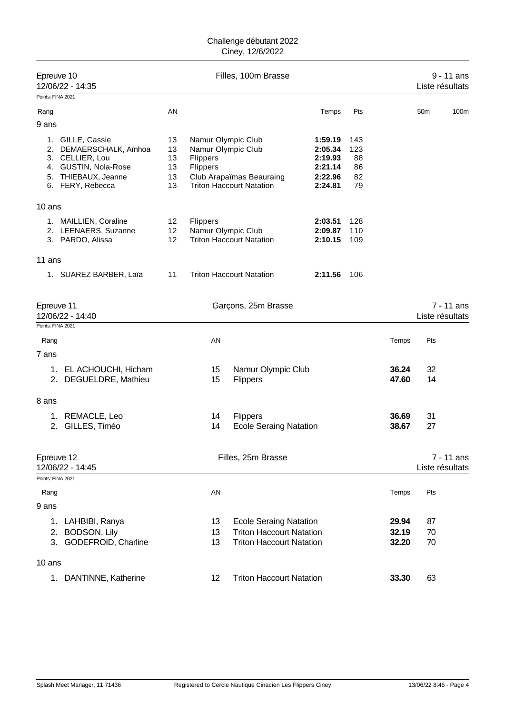| Epreuve 10<br>12/06/22 - 14:35                      |                                                                                                                          |                                  |                                                                  | Filles, 100m Brasse                                                                                 |                                                                |                                    |                         |                 | $9 - 11$ ans<br>Liste résultats |
|-----------------------------------------------------|--------------------------------------------------------------------------------------------------------------------------|----------------------------------|------------------------------------------------------------------|-----------------------------------------------------------------------------------------------------|----------------------------------------------------------------|------------------------------------|-------------------------|-----------------|---------------------------------|
| Points: FINA 2021                                   |                                                                                                                          |                                  |                                                                  |                                                                                                     |                                                                |                                    |                         |                 |                                 |
| Rang                                                |                                                                                                                          | AN                               |                                                                  |                                                                                                     | Temps                                                          | Pts                                |                         | 50 <sub>m</sub> | 100m                            |
| 9 ans                                               |                                                                                                                          |                                  |                                                                  |                                                                                                     |                                                                |                                    |                         |                 |                                 |
| 1.<br>4.<br>5.                                      | GILLE, Cassie<br>2. DEMAERSCHALK, Aïnhoa<br>3. CELLIER, Lou<br>GUSTIN, Nola-Rose<br>THIEBAUX, Jeanne<br>6. FERY, Rebecca | 13<br>13<br>13<br>13<br>13<br>13 | Namur Olympic Club<br>Namur Olympic Club<br>Flippers<br>Flippers | Club Arapaïmas Beauraing<br><b>Triton Haccourt Natation</b>                                         | 1:59.19<br>2:05.34<br>2:19.93<br>2:21.14<br>2:22.96<br>2:24.81 | 143<br>123<br>88<br>86<br>82<br>79 |                         |                 |                                 |
| $10$ ans                                            |                                                                                                                          |                                  |                                                                  |                                                                                                     |                                                                |                                    |                         |                 |                                 |
|                                                     | 1. MAILLIEN, Coraline<br>2. LEENAERS, Suzanne<br>3. PARDO, Alissa                                                        | 12 <sup>2</sup><br>12<br>12      | <b>Flippers</b><br>Namur Olympic Club                            | <b>Triton Haccourt Natation</b>                                                                     | 2:03.51<br>2:09.87<br>2:10.15                                  | 128<br>110<br>109                  |                         |                 |                                 |
| 11 ans                                              |                                                                                                                          |                                  |                                                                  |                                                                                                     |                                                                |                                    |                         |                 |                                 |
|                                                     | 1. SUAREZ BARBER, Laïa                                                                                                   | 11                               |                                                                  | <b>Triton Haccourt Natation</b>                                                                     | 2:11.56                                                        | 106                                |                         |                 |                                 |
| Epreuve 11<br>12/06/22 - 14:40<br>Points: FINA 2021 |                                                                                                                          |                                  |                                                                  | Garçons, 25m Brasse                                                                                 |                                                                |                                    |                         |                 | 7 - 11 ans<br>Liste résultats   |
| Rang                                                |                                                                                                                          |                                  | AN                                                               |                                                                                                     |                                                                |                                    | Temps                   | Pts             |                                 |
| 7 ans                                               |                                                                                                                          |                                  |                                                                  |                                                                                                     |                                                                |                                    |                         |                 |                                 |
| 1.                                                  | EL ACHOUCHI, Hicham<br>2. DEGUELDRE, Mathieu                                                                             |                                  | 15<br>15                                                         | Namur Olympic Club<br><b>Flippers</b>                                                               |                                                                |                                    | 36.24<br>47.60          | 32<br>14        |                                 |
| 8 ans                                               |                                                                                                                          |                                  |                                                                  |                                                                                                     |                                                                |                                    |                         |                 |                                 |
| 1.<br>2.                                            | REMACLE, Leo<br>GILLES, Timéo                                                                                            |                                  | 14<br>14                                                         | Flippers<br><b>Ecole Seraing Natation</b>                                                           |                                                                |                                    | 36.69<br>38.67          | 31<br>27        |                                 |
| Epreuve 12<br>12/06/22 - 14:45                      |                                                                                                                          |                                  |                                                                  | Filles, 25m Brasse                                                                                  |                                                                |                                    |                         |                 | 7 - 11 ans<br>Liste résultats   |
| Points: FINA 2021                                   |                                                                                                                          |                                  |                                                                  |                                                                                                     |                                                                |                                    |                         |                 |                                 |
| Rang<br>9 ans                                       |                                                                                                                          |                                  | AN                                                               |                                                                                                     |                                                                |                                    | Temps                   | Pts             |                                 |
| 1.<br>2.<br>3.                                      | LAHBIBI, Ranya<br>BODSON, Lily<br>GODEFROID, Charline                                                                    |                                  | 13<br>13<br>13                                                   | <b>Ecole Seraing Natation</b><br><b>Triton Haccourt Natation</b><br><b>Triton Haccourt Natation</b> |                                                                |                                    | 29.94<br>32.19<br>32.20 | 87<br>70<br>70  |                                 |
| 10 ans                                              |                                                                                                                          |                                  |                                                                  |                                                                                                     |                                                                |                                    |                         |                 |                                 |
| 1.                                                  | DANTINNE, Katherine                                                                                                      |                                  | 12                                                               | <b>Triton Haccourt Natation</b>                                                                     |                                                                |                                    | 33.30                   | 63              |                                 |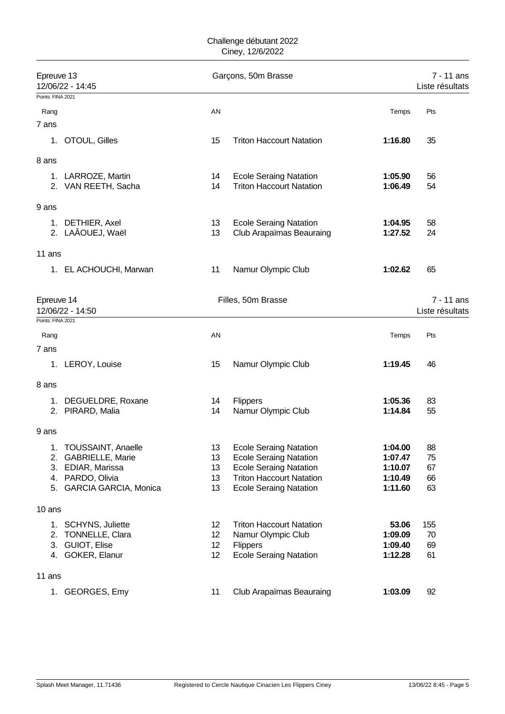| Epreuve 13        | 12/06/22 - 14:45                                 |          | Garçons, 50m Brasse                                              |                    | 7 - 11 ans<br>Liste résultats |
|-------------------|--------------------------------------------------|----------|------------------------------------------------------------------|--------------------|-------------------------------|
| Points: FINA 2021 |                                                  |          |                                                                  |                    |                               |
| Rang              |                                                  | AN       |                                                                  | Temps              | Pts                           |
| 7 ans             |                                                  |          |                                                                  |                    |                               |
| 1.                | OTOUL, Gilles                                    | 15       | <b>Triton Haccourt Natation</b>                                  | 1:16.80            | 35                            |
| 8 ans             |                                                  |          |                                                                  |                    |                               |
|                   | 1. LARROZE, Martin                               | 14       | <b>Ecole Seraing Natation</b>                                    | 1:05.90            | 56                            |
|                   | 2. VAN REETH, Sacha                              | 14       | <b>Triton Haccourt Natation</b>                                  | 1:06.49            | 54                            |
| 9 ans             |                                                  |          |                                                                  |                    |                               |
| 1.                | DETHIER, Axel                                    | 13       | <b>Ecole Seraing Natation</b>                                    | 1:04.95            | 58                            |
|                   | 2. LAÂOUEJ, Waël                                 | 13       | <b>Club Arapaïmas Beauraing</b>                                  | 1:27.52            | 24                            |
| 11 ans            |                                                  |          |                                                                  |                    |                               |
|                   | 1. EL ACHOUCHI, Marwan                           | 11       | Namur Olympic Club                                               | 1:02.62            | 65                            |
| Epreuve 14        |                                                  |          | Filles, 50m Brasse                                               |                    | 7 - 11 ans                    |
|                   | 12/06/22 - 14:50                                 |          |                                                                  |                    | Liste résultats               |
| Points: FINA 2021 |                                                  |          |                                                                  |                    |                               |
| Rang              |                                                  | AN       |                                                                  | Temps              | Pts                           |
| 7 ans             |                                                  |          |                                                                  |                    |                               |
|                   | 1. LEROY, Louise                                 | 15       | Namur Olympic Club                                               | 1:19.45            | 46                            |
| 8 ans             |                                                  |          |                                                                  |                    |                               |
|                   | 1. DEGUELDRE, Roxane                             | 14       | Flippers                                                         | 1:05.36            | 83                            |
|                   | 2. PIRARD, Malia                                 | 14       | Namur Olympic Club                                               | 1:14.84            | 55                            |
| 9 ans             |                                                  |          |                                                                  |                    |                               |
| 1.                | <b>TOUSSAINT, Anaelle</b>                        | 13       | <b>Ecole Seraing Natation</b>                                    | 1:04.00            | 88                            |
| 2.                | GABRIELLE, Marie                                 | 13       | <b>Ecole Seraing Natation</b>                                    | 1:07.47            | 75                            |
| 3.                | EDIAR, Marissa                                   | 13       | <b>Ecole Seraing Natation</b>                                    | 1:10.07            | 67                            |
| 5.                | 4. PARDO, Olivia<br><b>GARCIA GARCIA, Monica</b> | 13<br>13 | <b>Triton Haccourt Natation</b><br><b>Ecole Seraing Natation</b> | 1:10.49<br>1:11.60 | 66<br>63                      |
|                   |                                                  |          |                                                                  |                    |                               |
| 10 ans            |                                                  |          |                                                                  |                    |                               |
|                   | 1. SCHYNS, Juliette                              | 12       | <b>Triton Haccourt Natation</b>                                  | 53.06              | 155                           |
| 2.                | TONNELLE, Clara                                  | 12       | Namur Olympic Club                                               | 1:09.09            | 70                            |
|                   | 3. GUIOT, Elise                                  | 12       | <b>Flippers</b>                                                  | 1:09.40            | 69                            |
|                   | 4. GOKER, Elanur                                 | 12       | <b>Ecole Seraing Natation</b>                                    | 1:12.28            | 61                            |
| 11 ans            |                                                  |          |                                                                  |                    |                               |
|                   | 1. GEORGES, Emy                                  | 11       | Club Arapaïmas Beauraing                                         | 1:03.09            | 92                            |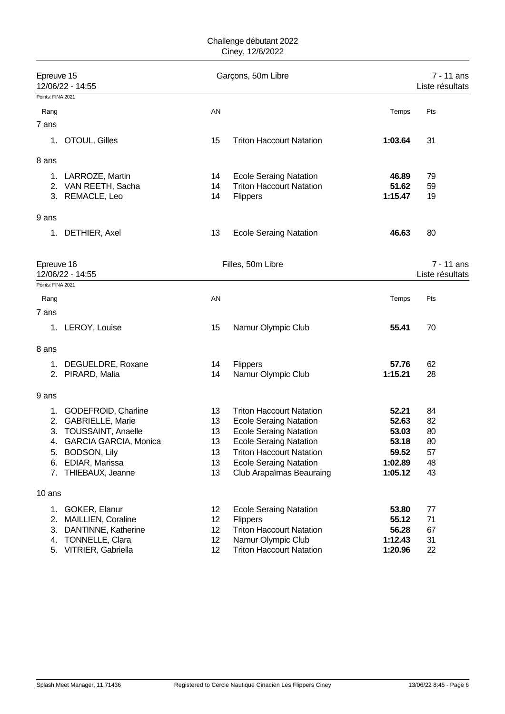| Epreuve 15        | 12/06/22 - 14:55       |    | Garçons, 50m Libre              |         | 7 - 11 ans<br>Liste résultats |
|-------------------|------------------------|----|---------------------------------|---------|-------------------------------|
| Points: FINA 2021 |                        |    |                                 |         |                               |
| Rang              |                        | AN |                                 | Temps   | Pts                           |
| 7 ans             |                        |    |                                 |         |                               |
| 1.                | OTOUL, Gilles          | 15 | <b>Triton Haccourt Natation</b> | 1:03.64 | 31                            |
| 8 ans             |                        |    |                                 |         |                               |
| 1.                | LARROZE, Martin        | 14 | <b>Ecole Seraing Natation</b>   | 46.89   | 79                            |
|                   | 2. VAN REETH, Sacha    | 14 | <b>Triton Haccourt Natation</b> | 51.62   | 59                            |
|                   | 3. REMACLE, Leo        | 14 | <b>Flippers</b>                 | 1:15.47 | 19                            |
| 9 ans             |                        |    |                                 |         |                               |
| 1.                | DETHIER, Axel          | 13 | <b>Ecole Seraing Natation</b>   | 46.63   | 80                            |
| Epreuve 16        |                        |    | Filles, 50m Libre               |         | 7 - 11 ans                    |
|                   | 12/06/22 - 14:55       |    |                                 |         | Liste résultats               |
| Points: FINA 2021 |                        |    |                                 |         |                               |
| Rang              |                        | AN |                                 | Temps   | Pts                           |
| 7 ans             |                        |    |                                 |         |                               |
|                   | 1. LEROY, Louise       | 15 | Namur Olympic Club              | 55.41   | 70                            |
| 8 ans             |                        |    |                                 |         |                               |
| 1.                | DEGUELDRE, Roxane      | 14 | Flippers                        | 57.76   | 62                            |
|                   | 2. PIRARD, Malia       | 14 | Namur Olympic Club              | 1:15.21 | 28                            |
| 9 ans             |                        |    |                                 |         |                               |
| 1.                | GODEFROID, Charline    | 13 | <b>Triton Haccourt Natation</b> | 52.21   | 84                            |
| 2.                | GABRIELLE, Marie       | 13 | <b>Ecole Seraing Natation</b>   | 52.63   | 82                            |
| З.                | TOUSSAINT, Anaelle     | 13 | <b>Ecole Seraing Natation</b>   | 53.03   | 80                            |
| 4.                | GARCIA GARCIA, Monica  | 13 | <b>Ecole Seraing Natation</b>   | 53.18   | 80                            |
| 5.                | BODSON, Lily           | 13 | <b>Triton Haccourt Natation</b> | 59.52   | 57                            |
| 6.                | EDIAR, Marissa         | 13 | <b>Ecole Seraing Natation</b>   | 1:02.89 | 48                            |
| 7.                | THIEBAUX, Jeanne       | 13 | Club Arapaïmas Beauraing        | 1:05.12 | 43                            |
| 10 ans            |                        |    |                                 |         |                               |
| 1.                | GOKER, Elanur          | 12 | <b>Ecole Seraing Natation</b>   | 53.80   | 77                            |
| 2.                | MAILLIEN, Coraline     | 12 | <b>Flippers</b>                 | 55.12   | 71                            |
| 3.                | DANTINNE, Katherine    | 12 | <b>Triton Haccourt Natation</b> | 56.28   | 67                            |
| 4.                | <b>TONNELLE, Clara</b> | 12 | Namur Olympic Club              | 1:12.43 | 31                            |
| 5.                | VITRIER, Gabriella     | 12 | <b>Triton Haccourt Natation</b> | 1:20.96 | 22                            |